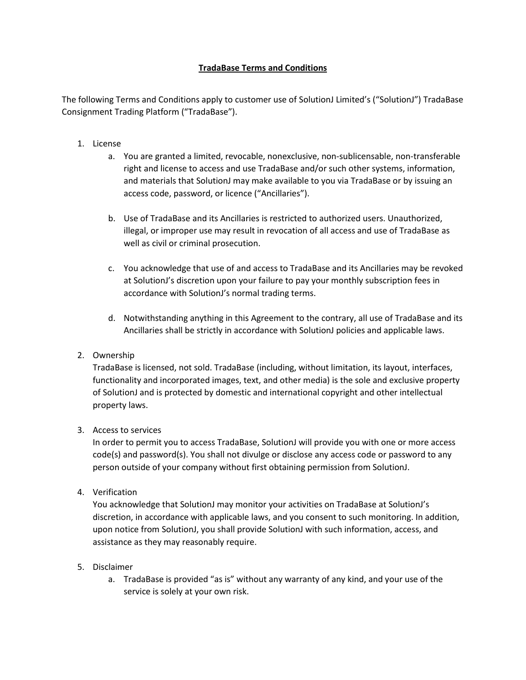# **TradaBase Terms and Conditions**

The following Terms and Conditions apply to customer use of SolutionJ Limited's ("SolutionJ") TradaBase Consignment Trading Platform ("TradaBase").

- 1. License
	- a. You are granted a limited, revocable, nonexclusive, non-sublicensable, non-transferable right and license to access and use TradaBase and/or such other systems, information, and materials that SolutionJ may make available to you via TradaBase or by issuing an access code, password, or licence ("Ancillaries").
	- b. Use of TradaBase and its Ancillaries is restricted to authorized users. Unauthorized, illegal, or improper use may result in revocation of all access and use of TradaBase as well as civil or criminal prosecution.
	- c. You acknowledge that use of and access to TradaBase and its Ancillaries may be revoked at SolutionJ's discretion upon your failure to pay your monthly subscription fees in accordance with SolutionJ's normal trading terms.
	- d. Notwithstanding anything in this Agreement to the contrary, all use of TradaBase and its Ancillaries shall be strictly in accordance with SolutionJ policies and applicable laws.
- 2. Ownership

TradaBase is licensed, not sold. TradaBase (including, without limitation, its layout, interfaces, functionality and incorporated images, text, and other media) is the sole and exclusive property of SolutionJ and is protected by domestic and international copyright and other intellectual property laws.

### 3. Access to services

In order to permit you to access TradaBase, SolutionJ will provide you with one or more access code(s) and password(s). You shall not divulge or disclose any access code or password to any person outside of your company without first obtaining permission from SolutionJ.

4. Verification

You acknowledge that SolutionJ may monitor your activities on TradaBase at SolutionJ's discretion, in accordance with applicable laws, and you consent to such monitoring. In addition, upon notice from SolutionJ, you shall provide SolutionJ with such information, access, and assistance as they may reasonably require.

### 5. Disclaimer

a. TradaBase is provided "as is" without any warranty of any kind, and your use of the service is solely at your own risk.